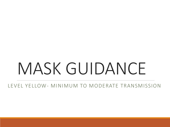## MASK GUIDANCE

LEVEL YELLOW- MINIMUM TO MODERATE TRANSMISSION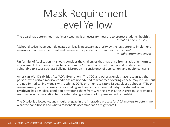## Mask Requirement Level Yellow

The board has determined that "mask wearing is a necessary measure to protect students' health". ~ *Idaho Code § 33-512*

"School districts have been delegated all legally necessary authority by the legislature to implement measures to address the threat and presence of a pandemic within their jurisdiction."

~ *Idaho Attorney General*

Uniformity of Application - It should consider the challenges that may arise from a lack of uniformity in enforcement. If students or teachers can simply "opt out" of a mask mandate, it renders itself vulnerable to issues such as: Bullying, Disruption in consistency of application, and equity concerns.

American with Disabilities Act (ADA) Exemption - The CDC and other agencies have recognized that persons with certain medical conditions are not advised to wear face coverings: these may include (but are not limited to) individuals with asthma, COPD or other respiratory issues, claustrophobia, PTSD or severe anxiety, sensory issues corresponding with autism, and cerebral palsy. If a stud**ent or an employee** has a medical condition preventing them from wearing a mask, the District must provide a reasonable accommodation to the extent doing so does not impose an undue hardship.

The District is allowed to, and should, engage in the interactive process for ADA matters to determine what the condition is and what a reasonable accommodation might entail.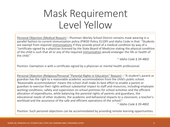## Mask Requirement Level Yellow

Personal Objection (Medical Reason) – Plummer-Worley School District remains mask wearing in a parallel fashion to current immunization policy (PWSD Policy 3110P) and Idaho Code in that: "Students are exempt from required immunizations if they provide proof of a medical condition by way of a "certificate signed by a physician licensed by the State Board of Medicine stating the physical condition of the child is such that all or any of the required immunization would endanger the life or health of the child."

~ *Idaho Code § 39-4802*

Position: Exemption is with a certificate signed by a physician or mental health professional.

Personal Objection (Religious/Personal "Parental Rights in Education" Reason) – "A student's parent or guardian has the right to a reasonable academic accommodation from the child's public school. 'Reasonable accommodation' means the school shall make its best effort to enable a parent or guardian to exercise their rights without substantial impact to staff and resources, including employee working conditions, safety and supervision on school premises for school activities and the efficient allocation of expenditures, while balancing the parental rights of parents and guardians, the educational needs of other students, the academic and behavioral impacts to a classroom, a teacher's workload and the assurance of the safe and efficient operations of the school."

~ *Idaho Code § 39-4802*

Position: Such personal objections can be accommodated by providing remote learning opportunities.